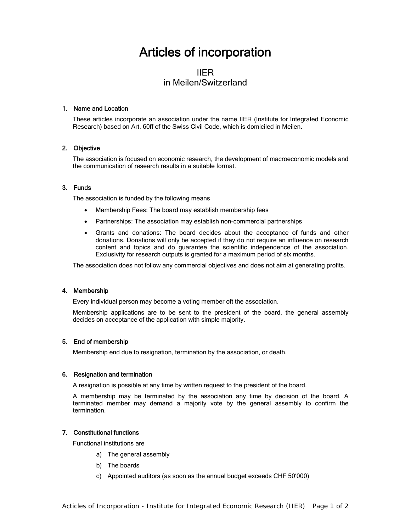# Articles of incorporation

# IIER in Meilen/Switzerland

# 1. Name and Location

These articles incorporate an association under the name IIER (Institute for Integrated Economic Research) based on Art. 60ff of the Swiss Civil Code, which is domiciled in Meilen.

# 2. Objective

The association is focused on economic research, the development of macroeconomic models and the communication of research results in a suitable format.

# 3. Funds

The association is funded by the following means

- Membership Fees: The board may establish membership fees
- Partnerships: The association may establish non-commercial partnerships
- Grants and donations: The board decides about the acceptance of funds and other donations. Donations will only be accepted if they do not require an influence on research content and topics and do guarantee the scientific independence of the association. Exclusivity for research outputs is granted for a maximum period of six months.

The association does not follow any commercial objectives and does not aim at generating profits.

#### 4. Membership

Every individual person may become a voting member oft the association.

Membership applications are to be sent to the president of the board, the general assembly decides on acceptance of the application with simple majority.

#### 5. End of membership

Membership end due to resignation, termination by the association, or death.

#### 6. Resignation and termination

A resignation is possible at any time by written request to the president of the board.

A membership may be terminated by the association any time by decision of the board. A terminated member may demand a majority vote by the general assembly to confirm the termination.

### 7. Constitutional functions

Functional institutions are

- a) The general assembly
- b) The boards
- c) Appointed auditors (as soon as the annual budget exceeds CHF 50'000)